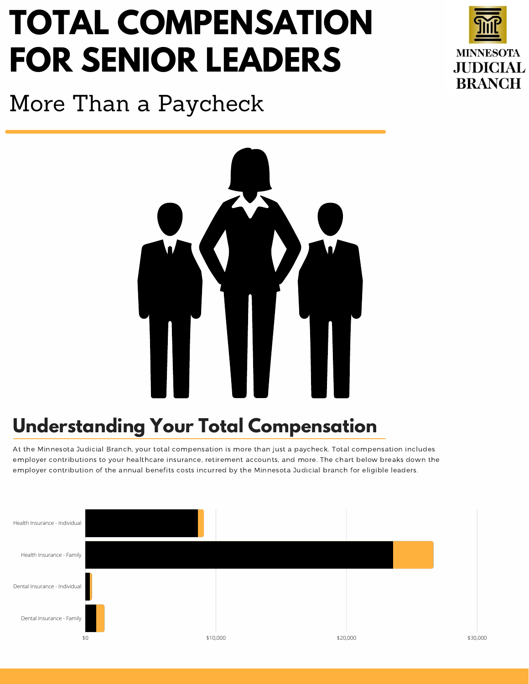## **TOTAL COMPENSATION FOR SENIOR LEADERS**



More Than a Paycheck



## **Understanding Your Total Compensation**

At the Minnesota Judicial Branch, your total compensation is more than just a paycheck. Total compensation includes employer contributions to your healthcare insurance, retirement accounts, and more. The chart below breaks down the employer contribution of the annual benefits costs incurred by the Minnesota Judicial branch for eligible leaders.